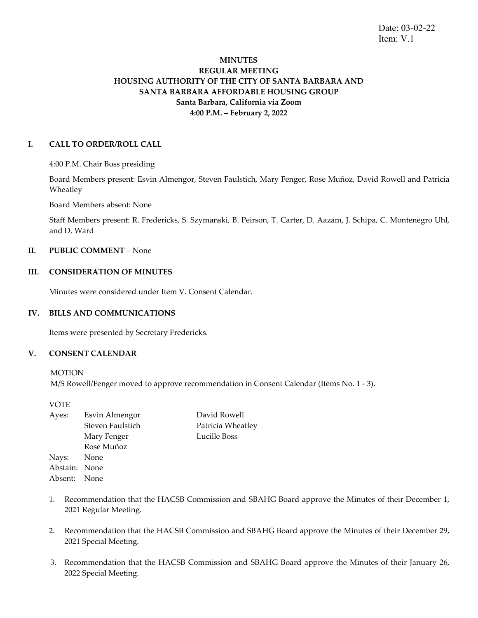Date: 03-02-22 Item: V.1

# **MINUTES REGULAR MEETING HOUSING AUTHORITY OF THE CITY OF SANTA BARBARA AND SANTA BARBARA AFFORDABLE HOUSING GROUP Santa Barbara, California via Zoom 4:00 P.M. – February 2, 2022**

### **I. CALL TO ORDER/ROLL CALL**

4:00 P.M. Chair Boss presiding

Board Members present: Esvin Almengor, Steven Faulstich, Mary Fenger, Rose Muñoz, David Rowell and Patricia Wheatley

Board Members absent: None

Staff Members present: R. Fredericks, S. Szymanski, B. Peirson, T. Carter, D. Aazam, J. Schipa, C. Montenegro Uhl, and D. Ward

#### **II. PUBLIC COMMENT** – None

## **III. CONSIDERATION OF MINUTES**

Minutes were considered under Item V. Consent Calendar.

#### **IV. BILLS AND COMMUNICATIONS**

Items were presented by Secretary Fredericks.

## **V. CONSENT CALENDAR**

**MOTION** 

M/S Rowell/Fenger moved to approve recommendation in Consent Calendar (Items No. 1 - 3).

VOTE Ayes: Esvin Almengor David Rowell Steven Faulstich Patricia Wheatley Mary Fenger Lucille Boss Rose Muñoz Nays: None Abstain: None Absent: None

- 1. Recommendation that the HACSB Commission and SBAHG Board approve the Minutes of their December 1, 2021 Regular Meeting.
- 2. Recommendation that the HACSB Commission and SBAHG Board approve the Minutes of their December 29, 2021 Special Meeting.
- 3. Recommendation that the HACSB Commission and SBAHG Board approve the Minutes of their January 26, 2022 Special Meeting.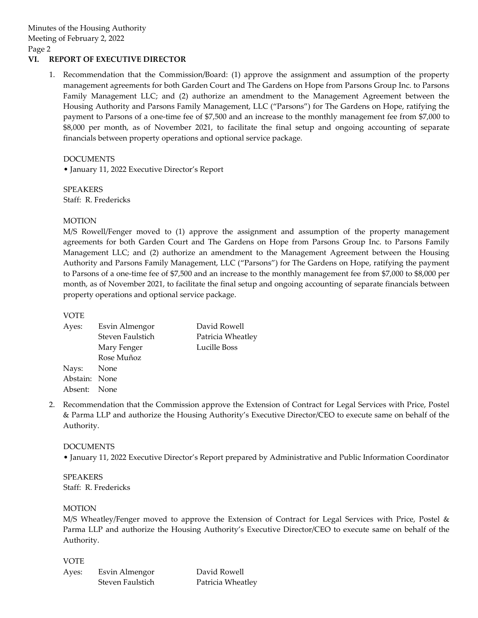## **VI. REPORT OF EXECUTIVE DIRECTOR**

1. Recommendation that the Commission/Board: (1) approve the assignment and assumption of the property management agreements for both Garden Court and The Gardens on Hope from Parsons Group Inc. to Parsons Family Management LLC; and (2) authorize an amendment to the Management Agreement between the Housing Authority and Parsons Family Management, LLC ("Parsons") for The Gardens on Hope, ratifying the payment to Parsons of a one-time fee of \$7,500 and an increase to the monthly management fee from \$7,000 to \$8,000 per month, as of November 2021, to facilitate the final setup and ongoing accounting of separate financials between property operations and optional service package.

DOCUMENTS

• January 11, 2022 Executive Director's Report

SPEAKERS Staff: R. Fredericks

## **MOTION**

M/S Rowell/Fenger moved to (1) approve the assignment and assumption of the property management agreements for both Garden Court and The Gardens on Hope from Parsons Group Inc. to Parsons Family Management LLC; and (2) authorize an amendment to the Management Agreement between the Housing Authority and Parsons Family Management, LLC ("Parsons") for The Gardens on Hope, ratifying the payment to Parsons of a one-time fee of \$7,500 and an increase to the monthly management fee from \$7,000 to \$8,000 per month, as of November 2021, to facilitate the final setup and ongoing accounting of separate financials between property operations and optional service package.

## VOTE

| Ayes:         | Esvin Almengor   | David Rowell      |
|---------------|------------------|-------------------|
|               | Steven Faulstich | Patricia Wheatley |
|               | Mary Fenger      | Lucille Boss      |
|               | Rose Muñoz       |                   |
| Nays: None    |                  |                   |
| Abstain: None |                  |                   |
| Absent: None  |                  |                   |
|               |                  |                   |

2. Recommendation that the Commission approve the Extension of Contract for Legal Services with Price, Postel & Parma LLP and authorize the Housing Authority's Executive Director/CEO to execute same on behalf of the Authority.

#### DOCUMENTS

• January 11, 2022 Executive Director's Report prepared by Administrative and Public Information Coordinator

SPEAKERS Staff: R. Fredericks

#### MOTION

M/S Wheatley/Fenger moved to approve the Extension of Contract for Legal Services with Price, Postel & Parma LLP and authorize the Housing Authority's Executive Director/CEO to execute same on behalf of the Authority.

VOTE

| Ayes: | Esvin Almengor   | David Rowell      |
|-------|------------------|-------------------|
|       | Steven Faulstich | Patricia Wheatley |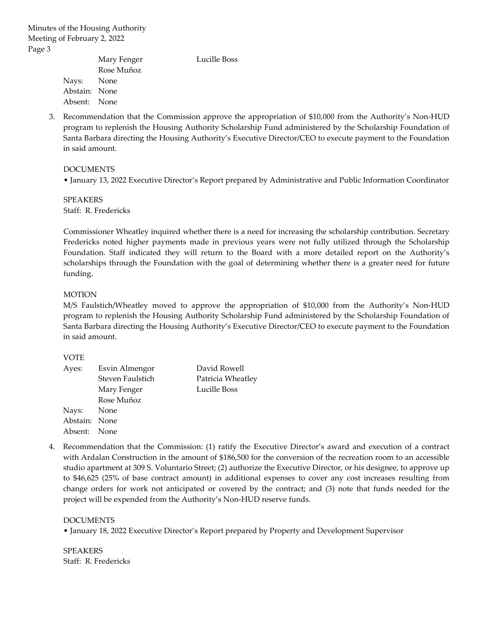| Mary Fenger | Lucille Boss                                |
|-------------|---------------------------------------------|
| Rose Muñoz  |                                             |
|             |                                             |
|             |                                             |
|             |                                             |
|             | Nays: None<br>Abstain: None<br>Absent: None |

3. Recommendation that the Commission approve the appropriation of \$10,000 from the Authority's Non-HUD program to replenish the Housing Authority Scholarship Fund administered by the Scholarship Foundation of Santa Barbara directing the Housing Authority's Executive Director/CEO to execute payment to the Foundation in said amount.

## DOCUMENTS

• January 13, 2022 Executive Director's Report prepared by Administrative and Public Information Coordinator

SPEAKERS Staff: R. Fredericks

Commissioner Wheatley inquired whether there is a need for increasing the scholarship contribution. Secretary Fredericks noted higher payments made in previous years were not fully utilized through the Scholarship Foundation. Staff indicated they will return to the Board with a more detailed report on the Authority's scholarships through the Foundation with the goal of determining whether there is a greater need for future funding.

## MOTION

M/S Faulstich/Wheatley moved to approve the appropriation of \$10,000 from the Authority's Non-HUD program to replenish the Housing Authority Scholarship Fund administered by the Scholarship Foundation of Santa Barbara directing the Housing Authority's Executive Director/CEO to execute payment to the Foundation in said amount.

VOTE

| Ayes:         | Esvin Almengor   | David Rowell      |
|---------------|------------------|-------------------|
|               | Steven Faulstich | Patricia Wheatley |
|               | Mary Fenger      | Lucille Boss      |
|               | Rose Muñoz       |                   |
| Nays: None    |                  |                   |
| Abstain: None |                  |                   |
| Absent: None  |                  |                   |

4. Recommendation that the Commission: (1) ratify the Executive Director's award and execution of a contract with Ardalan Construction in the amount of \$186,500 for the conversion of the recreation room to an accessible studio apartment at 309 S. Voluntario Street; (2) authorize the Executive Director, or his designee, to approve up to \$46,625 (25% of base contract amount) in additional expenses to cover any cost increases resulting from change orders for work not anticipated or covered by the contract; and (3) note that funds needed for the project will be expended from the Authority's Non-HUD reserve funds.

#### DOCUMENTS

• January 18, 2022 Executive Director's Report prepared by Property and Development Supervisor

SPEAKERS Staff: R. Fredericks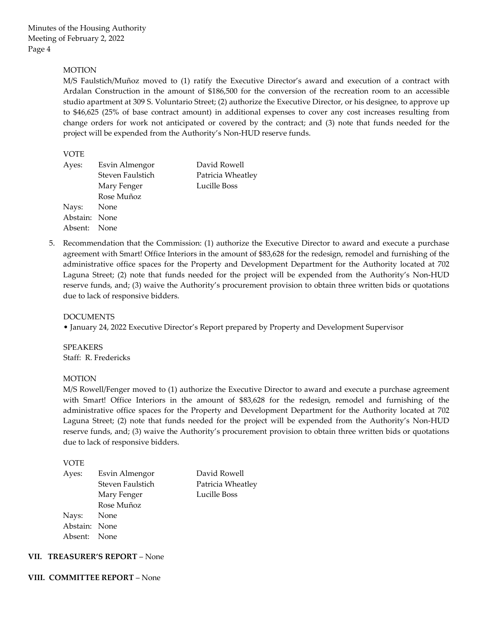## **MOTION**

M/S Faulstich/Muñoz moved to (1) ratify the Executive Director's award and execution of a contract with Ardalan Construction in the amount of \$186,500 for the conversion of the recreation room to an accessible studio apartment at 309 S. Voluntario Street; (2) authorize the Executive Director, or his designee, to approve up to \$46,625 (25% of base contract amount) in additional expenses to cover any cost increases resulting from change orders for work not anticipated or covered by the contract; and (3) note that funds needed for the project will be expended from the Authority's Non-HUD reserve funds.

## VOTE

| David Rowell                                                                                                   |
|----------------------------------------------------------------------------------------------------------------|
| Patricia Wheatley                                                                                              |
| Lucille Boss                                                                                                   |
|                                                                                                                |
|                                                                                                                |
|                                                                                                                |
|                                                                                                                |
| Esvin Almengor<br>Steven Faulstich<br>Mary Fenger<br>Rose Muñoz<br>Nays: None<br>Abstain: None<br>Absent: None |

5. Recommendation that the Commission: (1) authorize the Executive Director to award and execute a purchase agreement with Smart! Office Interiors in the amount of \$83,628 for the redesign, remodel and furnishing of the administrative office spaces for the Property and Development Department for the Authority located at 702 Laguna Street; (2) note that funds needed for the project will be expended from the Authority's Non-HUD reserve funds, and; (3) waive the Authority's procurement provision to obtain three written bids or quotations due to lack of responsive bidders.

DOCUMENTS

• January 24, 2022 Executive Director's Report prepared by Property and Development Supervisor

SPEAKERS Staff: R. Fredericks

#### MOTION

M/S Rowell/Fenger moved to (1) authorize the Executive Director to award and execute a purchase agreement with Smart! Office Interiors in the amount of \$83,628 for the redesign, remodel and furnishing of the administrative office spaces for the Property and Development Department for the Authority located at 702 Laguna Street; (2) note that funds needed for the project will be expended from the Authority's Non-HUD reserve funds, and; (3) waive the Authority's procurement provision to obtain three written bids or quotations due to lack of responsive bidders.

VOTE

| Ayes:         | Esvin Almengor   | David Rowell      |
|---------------|------------------|-------------------|
|               | Steven Faulstich | Patricia Wheatley |
|               | Mary Fenger      | Lucille Boss      |
|               | Rose Muñoz       |                   |
| Nays: None    |                  |                   |
| Abstain: None |                  |                   |
| Absent: None  |                  |                   |
|               |                  |                   |

#### **VII. TREASURER'S REPORT** – None

**VIII. COMMITTEE REPORT** – None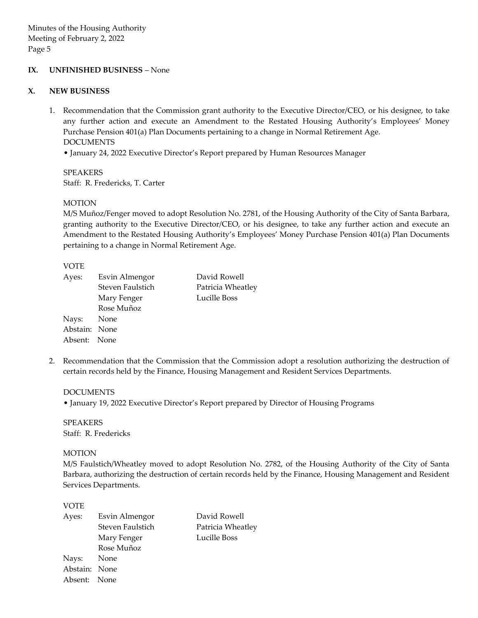#### **IX. UNFINISHED BUSINESS** – None

### **X. NEW BUSINESS**

1. Recommendation that the Commission grant authority to the Executive Director/CEO, or his designee, to take any further action and execute an Amendment to the Restated Housing Authority's Employees' Money Purchase Pension 401(a) Plan Documents pertaining to a change in Normal Retirement Age. DOCUMENTS

• January 24, 2022 Executive Director's Report prepared by Human Resources Manager

SPEAKERS Staff: R. Fredericks, T. Carter

## MOTION

M/S Muñoz/Fenger moved to adopt Resolution No. 2781, of the Housing Authority of the City of Santa Barbara, granting authority to the Executive Director/CEO, or his designee, to take any further action and execute an Amendment to the Restated Housing Authority's Employees' Money Purchase Pension 401(a) Plan Documents pertaining to a change in Normal Retirement Age.

## VOTE

| Ayes:         | Esvin Almengor   | David Rowell      |
|---------------|------------------|-------------------|
|               | Steven Faulstich | Patricia Wheatley |
|               | Mary Fenger      | Lucille Boss      |
|               | Rose Muñoz       |                   |
| Nays: None    |                  |                   |
| Abstain: None |                  |                   |
| Absent: None  |                  |                   |

2. Recommendation that the Commission that the Commission adopt a resolution authorizing the destruction of certain records held by the Finance, Housing Management and Resident Services Departments.

#### DOCUMENTS

• January 19, 2022 Executive Director's Report prepared by Director of Housing Programs

SPEAKERS Staff: R. Fredericks

## MOTION

M/S Faulstich/Wheatley moved to adopt Resolution No. 2782, of the Housing Authority of the City of Santa Barbara, authorizing the destruction of certain records held by the Finance, Housing Management and Resident Services Departments.

## VOTE

| Ayes:         | Esvin Almengor   | David Rowell      |
|---------------|------------------|-------------------|
|               | Steven Faulstich | Patricia Wheatley |
|               | Mary Fenger      | Lucille Boss      |
|               | Rose Muñoz       |                   |
| Nays: None    |                  |                   |
| Abstain: None |                  |                   |
| Absent: None  |                  |                   |